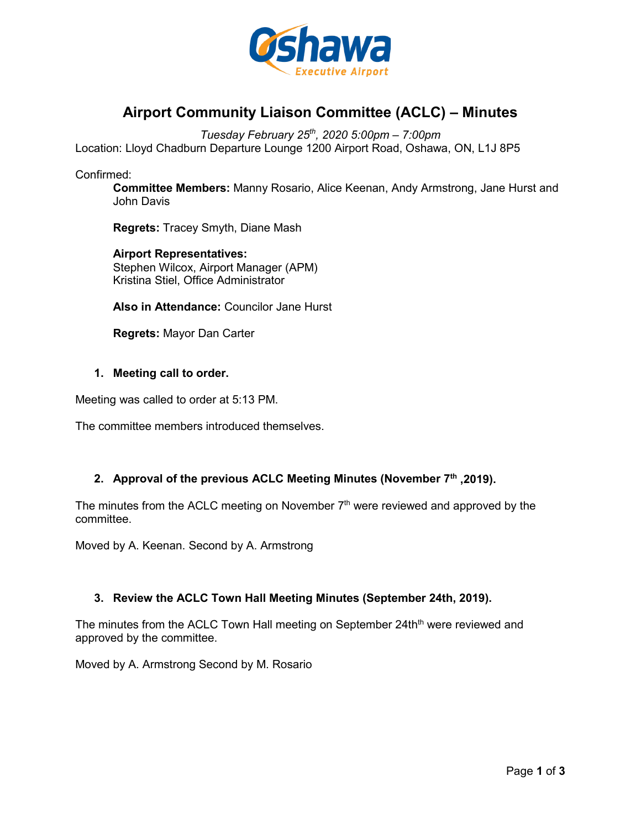

# **Airport Community Liaison Committee (ACLC) – Minutes**

*Tuesday February 25th, 2020 5:00pm – 7:00pm*

Location: Lloyd Chadburn Departure Lounge 1200 Airport Road, Oshawa, ON, L1J 8P5

Confirmed:

**Committee Members:** Manny Rosario, Alice Keenan, Andy Armstrong, Jane Hurst and John Davis

**Regrets:** Tracey Smyth, Diane Mash

**Airport Representatives:** Stephen Wilcox, Airport Manager (APM) Kristina Stiel, Office Administrator

**Also in Attendance:** Councilor Jane Hurst

**Regrets:** Mayor Dan Carter

## **1. Meeting call to order.**

Meeting was called to order at 5:13 PM.

The committee members introduced themselves.

# **2. Approval of the previous ACLC Meeting Minutes (November 7th ,2019).**

The minutes from the ACLC meeting on November  $7<sup>th</sup>$  were reviewed and approved by the committee.

Moved by A. Keenan. Second by A. Armstrong

## **3. Review the ACLC Town Hall Meeting Minutes (September 24th, 2019).**

The minutes from the ACLC Town Hall meeting on September 24th<sup>th</sup> were reviewed and approved by the committee.

Moved by A. Armstrong Second by M. Rosario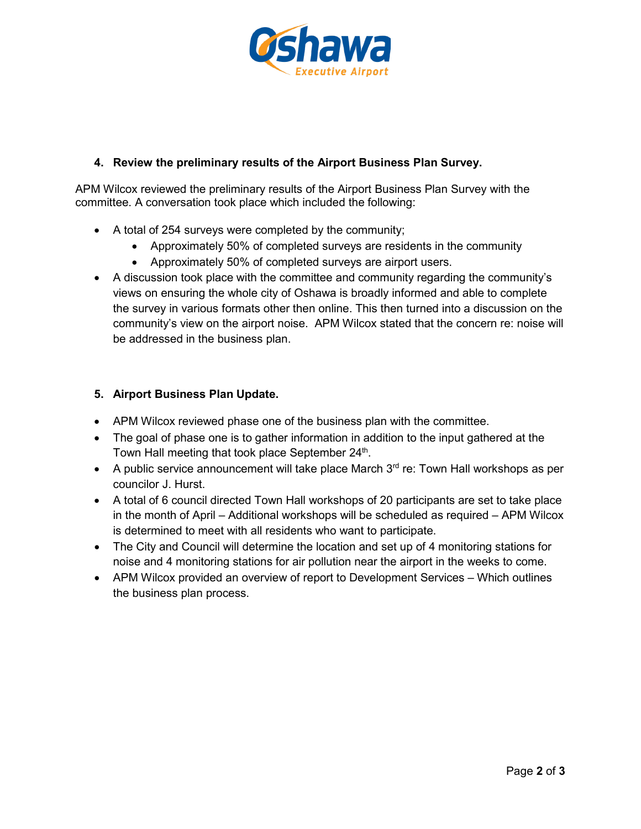

# **4. Review the preliminary results of the Airport Business Plan Survey.**

APM Wilcox reviewed the preliminary results of the Airport Business Plan Survey with the committee. A conversation took place which included the following:

- A total of 254 surveys were completed by the community;
	- Approximately 50% of completed surveys are residents in the community
	- Approximately 50% of completed surveys are airport users.
- A discussion took place with the committee and community regarding the community's views on ensuring the whole city of Oshawa is broadly informed and able to complete the survey in various formats other then online. This then turned into a discussion on the community's view on the airport noise. APM Wilcox stated that the concern re: noise will be addressed in the business plan.

# **5. Airport Business Plan Update.**

- APM Wilcox reviewed phase one of the business plan with the committee.
- The goal of phase one is to gather information in addition to the input gathered at the Town Hall meeting that took place September  $24<sup>th</sup>$ .
- A public service announcement will take place March  $3<sup>rd</sup>$  re: Town Hall workshops as per councilor J. Hurst.
- A total of 6 council directed Town Hall workshops of 20 participants are set to take place in the month of April – Additional workshops will be scheduled as required – APM Wilcox is determined to meet with all residents who want to participate.
- The City and Council will determine the location and set up of 4 monitoring stations for noise and 4 monitoring stations for air pollution near the airport in the weeks to come.
- APM Wilcox provided an overview of report to Development Services Which outlines the business plan process.